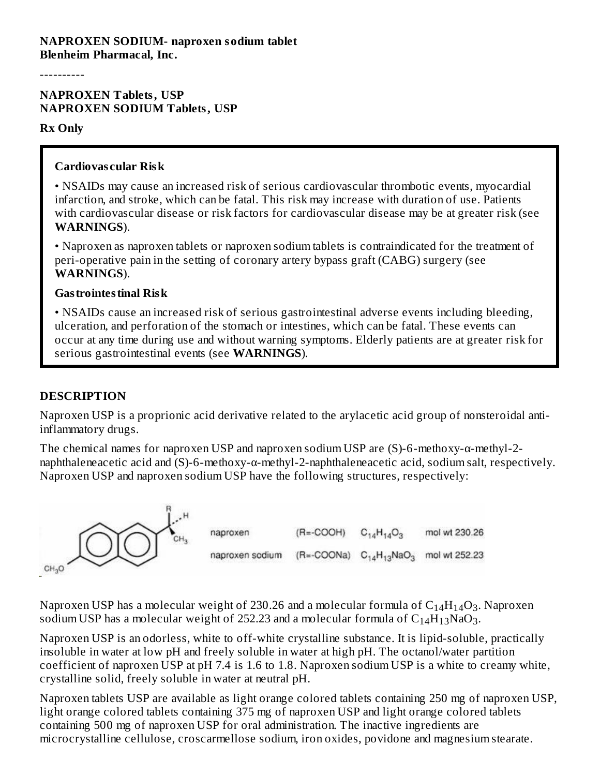#### **NAPROXEN SODIUM- naproxen sodium tablet Blenheim Pharmacal, Inc.**

----------

#### **NAPROXEN Tablets, USP NAPROXEN SODIUM Tablets, USP**

#### **Rx Only**

#### **Cardiovas cular Risk**

• NSAIDs may cause an increased risk of serious cardiovascular thrombotic events, myocardial infarction, and stroke, which can be fatal. This risk may increase with duration of use. Patients with cardiovascular disease or risk factors for cardiovascular disease may be at greater risk (see **WARNINGS**).

• Naproxen as naproxen tablets or naproxen sodium tablets is contraindicated for the treatment of peri-operative pain in the setting of coronary artery bypass graft (CABG) surgery (see **WARNINGS**).

#### **Gastrointestinal Risk**

• NSAIDs cause an increased risk of serious gastrointestinal adverse events including bleeding, ulceration, and perforation of the stomach or intestines, which can be fatal. These events can occur at any time during use and without warning symptoms. Elderly patients are at greater risk for serious gastrointestinal events (see **WARNINGS**).

#### **DESCRIPTION**

Naproxen USP is a proprionic acid derivative related to the arylacetic acid group of nonsteroidal antiinflammatory drugs.

The chemical names for naproxen USP and naproxen sodium USP are (S)-6-methoxy-α-methyl-2 naphthaleneacetic acid and (S)-6-methoxy-α-methyl-2-naphthaleneacetic acid, sodium salt, respectively. Naproxen USP and naproxen sodium USP have the following structures, respectively:



Naproxen USP has a molecular weight of 230.26 and a molecular formula of  $\rm{C_{14}H_{14}O_3}$ . Naproxen sodium USP has a molecular weight of 252.23 and a molecular formula of  $\rm{C_{14}H_{13}NaO_3.}$ 

Naproxen USP is an odorless, white to off-white crystalline substance. It is lipid-soluble, practically insoluble in water at low pH and freely soluble in water at high pH. The octanol/water partition coefficient of naproxen USP at pH 7.4 is 1.6 to 1.8. Naproxen sodium USP is a white to creamy white, crystalline solid, freely soluble in water at neutral pH.

Naproxen tablets USP are available as light orange colored tablets containing 250 mg of naproxen USP, light orange colored tablets containing 375 mg of naproxen USP and light orange colored tablets containing 500 mg of naproxen USP for oral administration. The inactive ingredients are microcrystalline cellulose, croscarmellose sodium, iron oxides, povidone and magnesium stearate.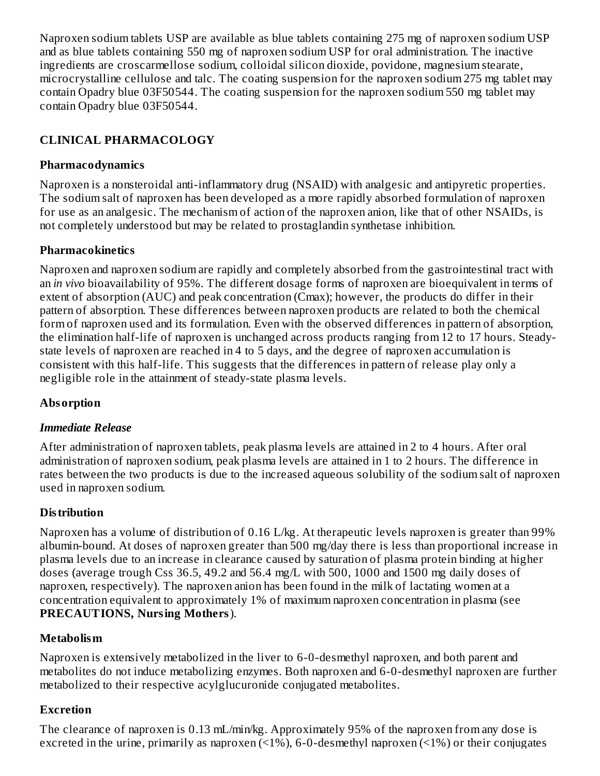Naproxen sodium tablets USP are available as blue tablets containing 275 mg of naproxen sodium USP and as blue tablets containing 550 mg of naproxen sodium USP for oral administration. The inactive ingredients are croscarmellose sodium, colloidal silicon dioxide, povidone, magnesium stearate, microcrystalline cellulose and talc. The coating suspension for the naproxen sodium 275 mg tablet may contain Opadry blue 03F50544. The coating suspension for the naproxen sodium 550 mg tablet may contain Opadry blue 03F50544.

## **CLINICAL PHARMACOLOGY**

#### **Pharmacodynamics**

Naproxen is a nonsteroidal anti-inflammatory drug (NSAID) with analgesic and antipyretic properties. The sodium salt of naproxen has been developed as a more rapidly absorbed formulation of naproxen for use as an analgesic. The mechanism of action of the naproxen anion, like that of other NSAIDs, is not completely understood but may be related to prostaglandin synthetase inhibition.

#### **Pharmacokinetics**

Naproxen and naproxen sodium are rapidly and completely absorbed from the gastrointestinal tract with an *in vivo* bioavailability of 95%. The different dosage forms of naproxen are bioequivalent in terms of extent of absorption (AUC) and peak concentration (Cmax); however, the products do differ in their pattern of absorption. These differences between naproxen products are related to both the chemical form of naproxen used and its formulation. Even with the observed differences in pattern of absorption, the elimination half-life of naproxen is unchanged across products ranging from 12 to 17 hours. Steadystate levels of naproxen are reached in 4 to 5 days, and the degree of naproxen accumulation is consistent with this half-life. This suggests that the differences in pattern of release play only a negligible role in the attainment of steady-state plasma levels.

#### **Absorption**

#### *Immediate Release*

After administration of naproxen tablets, peak plasma levels are attained in 2 to 4 hours. After oral administration of naproxen sodium, peak plasma levels are attained in 1 to 2 hours. The difference in rates between the two products is due to the increased aqueous solubility of the sodium salt of naproxen used in naproxen sodium.

#### **Distribution**

Naproxen has a volume of distribution of 0.16 L/kg. At therapeutic levels naproxen is greater than 99% albumin-bound. At doses of naproxen greater than 500 mg/day there is less than proportional increase in plasma levels due to an increase in clearance caused by saturation of plasma protein binding at higher doses (average trough Css 36.5, 49.2 and 56.4 mg/L with 500, 1000 and 1500 mg daily doses of naproxen, respectively). The naproxen anion has been found in the milk of lactating women at a concentration equivalent to approximately 1% of maximum naproxen concentration in plasma (see **PRECAUTIONS, Nursing Mothers**).

#### **Metabolism**

Naproxen is extensively metabolized in the liver to 6-0-desmethyl naproxen, and both parent and metabolites do not induce metabolizing enzymes. Both naproxen and 6-0-desmethyl naproxen are further metabolized to their respective acylglucuronide conjugated metabolites.

#### **Excretion**

The clearance of naproxen is 0.13 mL/min/kg. Approximately 95% of the naproxen from any dose is excreted in the urine, primarily as naproxen  $($ <1%), 6-0-desmethyl naproxen  $($ <1%) or their conjugates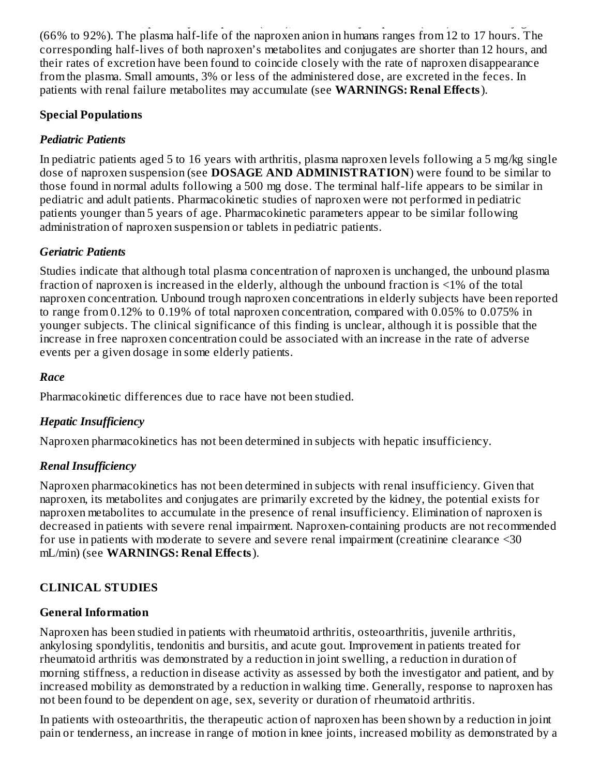excreted in the urine, primarily as naproxen (<1%), 6-0-desmethyl naproxen (<1%) or their conjugates (66% to 92%). The plasma half-life of the naproxen anion in humans ranges from 12 to 17 hours. The corresponding half-lives of both naproxen's metabolites and conjugates are shorter than 12 hours, and their rates of excretion have been found to coincide closely with the rate of naproxen disappearance from the plasma. Small amounts, 3% or less of the administered dose, are excreted in the feces. In patients with renal failure metabolites may accumulate (see **WARNINGS: Renal Effects**).

### **Special Populations**

#### *Pediatric Patients*

In pediatric patients aged 5 to 16 years with arthritis, plasma naproxen levels following a 5 mg/kg single dose of naproxen suspension (see **DOSAGE AND ADMINISTRATION**) were found to be similar to those found in normal adults following a 500 mg dose. The terminal half-life appears to be similar in pediatric and adult patients. Pharmacokinetic studies of naproxen were not performed in pediatric patients younger than 5 years of age. Pharmacokinetic parameters appear to be similar following administration of naproxen suspension or tablets in pediatric patients.

#### *Geriatric Patients*

Studies indicate that although total plasma concentration of naproxen is unchanged, the unbound plasma fraction of naproxen is increased in the elderly, although the unbound fraction is <1% of the total naproxen concentration. Unbound trough naproxen concentrations in elderly subjects have been reported to range from 0.12% to 0.19% of total naproxen concentration, compared with 0.05% to 0.075% in younger subjects. The clinical significance of this finding is unclear, although it is possible that the increase in free naproxen concentration could be associated with an increase in the rate of adverse events per a given dosage in some elderly patients.

#### *Race*

Pharmacokinetic differences due to race have not been studied.

### *Hepatic Insufficiency*

Naproxen pharmacokinetics has not been determined in subjects with hepatic insufficiency.

### *Renal Insufficiency*

Naproxen pharmacokinetics has not been determined in subjects with renal insufficiency. Given that naproxen, its metabolites and conjugates are primarily excreted by the kidney, the potential exists for naproxen metabolites to accumulate in the presence of renal insufficiency. Elimination of naproxen is decreased in patients with severe renal impairment. Naproxen-containing products are not recommended for use in patients with moderate to severe and severe renal impairment (creatinine clearance <30 mL/min) (see **WARNINGS: Renal Effects**).

### **CLINICAL STUDIES**

#### **General Information**

Naproxen has been studied in patients with rheumatoid arthritis, osteoarthritis, juvenile arthritis, ankylosing spondylitis, tendonitis and bursitis, and acute gout. Improvement in patients treated for rheumatoid arthritis was demonstrated by a reduction in joint swelling, a reduction in duration of morning stiffness, a reduction in disease activity as assessed by both the investigator and patient, and by increased mobility as demonstrated by a reduction in walking time. Generally, response to naproxen has not been found to be dependent on age, sex, severity or duration of rheumatoid arthritis.

In patients with osteoarthritis, the therapeutic action of naproxen has been shown by a reduction in joint pain or tenderness, an increase in range of motion in knee joints, increased mobility as demonstrated by a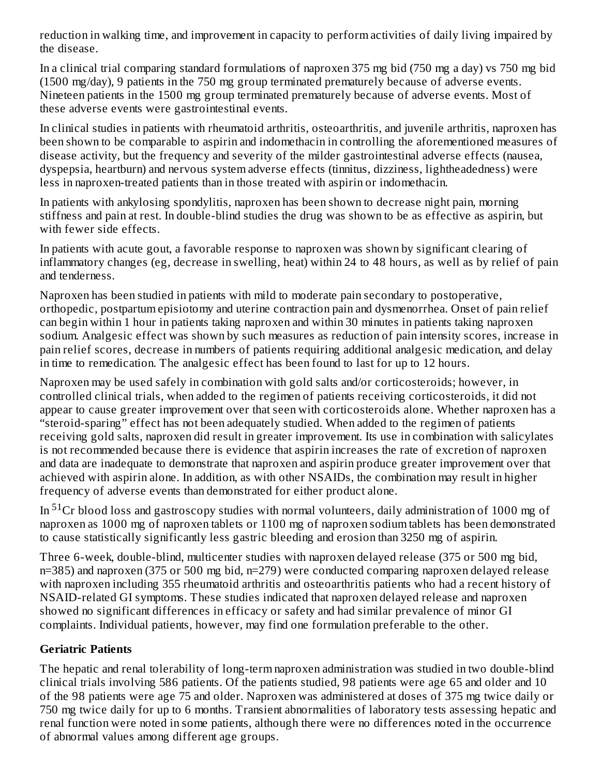reduction in walking time, and improvement in capacity to perform activities of daily living impaired by the disease.

In a clinical trial comparing standard formulations of naproxen 375 mg bid (750 mg a day) vs 750 mg bid (1500 mg/day), 9 patients in the 750 mg group terminated prematurely because of adverse events. Nineteen patients in the 1500 mg group terminated prematurely because of adverse events. Most of these adverse events were gastrointestinal events.

In clinical studies in patients with rheumatoid arthritis, osteoarthritis, and juvenile arthritis, naproxen has been shown to be comparable to aspirin and indomethacin in controlling the aforementioned measures of disease activity, but the frequency and severity of the milder gastrointestinal adverse effects (nausea, dyspepsia, heartburn) and nervous system adverse effects (tinnitus, dizziness, lightheadedness) were less in naproxen-treated patients than in those treated with aspirin or indomethacin.

In patients with ankylosing spondylitis, naproxen has been shown to decrease night pain, morning stiffness and pain at rest. In double-blind studies the drug was shown to be as effective as aspirin, but with fewer side effects.

In patients with acute gout, a favorable response to naproxen was shown by significant clearing of inflammatory changes (eg, decrease in swelling, heat) within 24 to 48 hours, as well as by relief of pain and tenderness.

Naproxen has been studied in patients with mild to moderate pain secondary to postoperative, orthopedic, postpartum episiotomy and uterine contraction pain and dysmenorrhea. Onset of pain relief can begin within 1 hour in patients taking naproxen and within 30 minutes in patients taking naproxen sodium. Analgesic effect was shown by such measures as reduction of pain intensity scores, increase in pain relief scores, decrease in numbers of patients requiring additional analgesic medication, and delay in time to remedication. The analgesic effect has been found to last for up to 12 hours.

Naproxen may be used safely in combination with gold salts and/or corticosteroids; however, in controlled clinical trials, when added to the regimen of patients receiving corticosteroids, it did not appear to cause greater improvement over that seen with corticosteroids alone. Whether naproxen has a "steroid-sparing" effect has not been adequately studied. When added to the regimen of patients receiving gold salts, naproxen did result in greater improvement. Its use in combination with salicylates is not recommended because there is evidence that aspirin increases the rate of excretion of naproxen and data are inadequate to demonstrate that naproxen and aspirin produce greater improvement over that achieved with aspirin alone. In addition, as with other NSAIDs, the combination may result in higher frequency of adverse events than demonstrated for either product alone.

In  $^{51}$ Cr blood loss and gastroscopy studies with normal volunteers, daily administration of 1000 mg of naproxen as 1000 mg of naproxen tablets or 1100 mg of naproxen sodium tablets has been demonstrated to cause statistically significantly less gastric bleeding and erosion than 3250 mg of aspirin.

Three 6-week, double-blind, multicenter studies with naproxen delayed release (375 or 500 mg bid, n=385) and naproxen (375 or 500 mg bid, n=279) were conducted comparing naproxen delayed release with naproxen including 355 rheumatoid arthritis and osteoarthritis patients who had a recent history of NSAID-related GI symptoms. These studies indicated that naproxen delayed release and naproxen showed no significant differences in efficacy or safety and had similar prevalence of minor GI complaints. Individual patients, however, may find one formulation preferable to the other.

#### **Geriatric Patients**

The hepatic and renal tolerability of long-term naproxen administration was studied in two double-blind clinical trials involving 586 patients. Of the patients studied, 98 patients were age 65 and older and 10 of the 98 patients were age 75 and older. Naproxen was administered at doses of 375 mg twice daily or 750 mg twice daily for up to 6 months. Transient abnormalities of laboratory tests assessing hepatic and renal function were noted in some patients, although there were no differences noted in the occurrence of abnormal values among different age groups.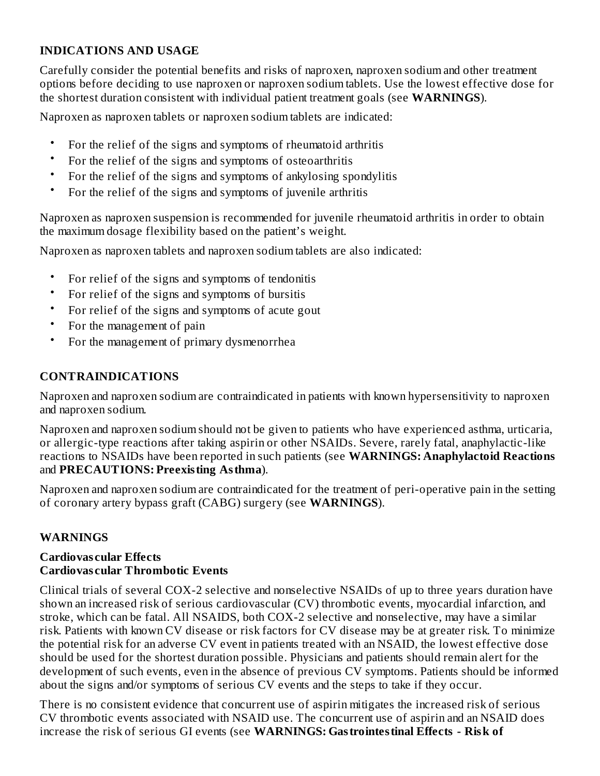#### **INDICATIONS AND USAGE**

Carefully consider the potential benefits and risks of naproxen, naproxen sodium and other treatment options before deciding to use naproxen or naproxen sodium tablets. Use the lowest effective dose for the shortest duration consistent with individual patient treatment goals (see **WARNINGS**).

Naproxen as naproxen tablets or naproxen sodium tablets are indicated:

- For the relief of the signs and symptoms of rheumatoid arthritis
- For the relief of the signs and symptoms of osteoarthritis
- For the relief of the signs and symptoms of ankylosing spondylitis
- For the relief of the signs and symptoms of juvenile arthritis

Naproxen as naproxen suspension is recommended for juvenile rheumatoid arthritis in order to obtain the maximum dosage flexibility based on the patient's weight.

Naproxen as naproxen tablets and naproxen sodium tablets are also indicated:

- For relief of the signs and symptoms of tendonitis
- For relief of the signs and symptoms of bursitis
- For relief of the signs and symptoms of acute gout
- For the management of pain
- For the management of primary dysmenorrhea

#### **CONTRAINDICATIONS**

Naproxen and naproxen sodium are contraindicated in patients with known hypersensitivity to naproxen and naproxen sodium.

Naproxen and naproxen sodium should not be given to patients who have experienced asthma, urticaria, or allergic-type reactions after taking aspirin or other NSAIDs. Severe, rarely fatal, anaphylactic-like reactions to NSAIDs have been reported in such patients (see **WARNINGS: Anaphylactoid Reactions** and **PRECAUTIONS: Preexisting Asthma**).

Naproxen and naproxen sodium are contraindicated for the treatment of peri-operative pain in the setting of coronary artery bypass graft (CABG) surgery (see **WARNINGS**).

#### **WARNINGS**

#### **Cardiovas cular Effects Cardiovas cular Thrombotic Events**

Clinical trials of several COX-2 selective and nonselective NSAIDs of up to three years duration have shown an increased risk of serious cardiovascular (CV) thrombotic events, myocardial infarction, and stroke, which can be fatal. All NSAIDS, both COX-2 selective and nonselective, may have a similar risk. Patients with known CV disease or risk factors for CV disease may be at greater risk. To minimize the potential risk for an adverse CV event in patients treated with an NSAID, the lowest effective dose should be used for the shortest duration possible. Physicians and patients should remain alert for the development of such events, even in the absence of previous CV symptoms. Patients should be informed about the signs and/or symptoms of serious CV events and the steps to take if they occur.

There is no consistent evidence that concurrent use of aspirin mitigates the increased risk of serious CV thrombotic events associated with NSAID use. The concurrent use of aspirin and an NSAID does increase the risk of serious GI events (see **WARNINGS: Gastrointestinal Effects - Risk of**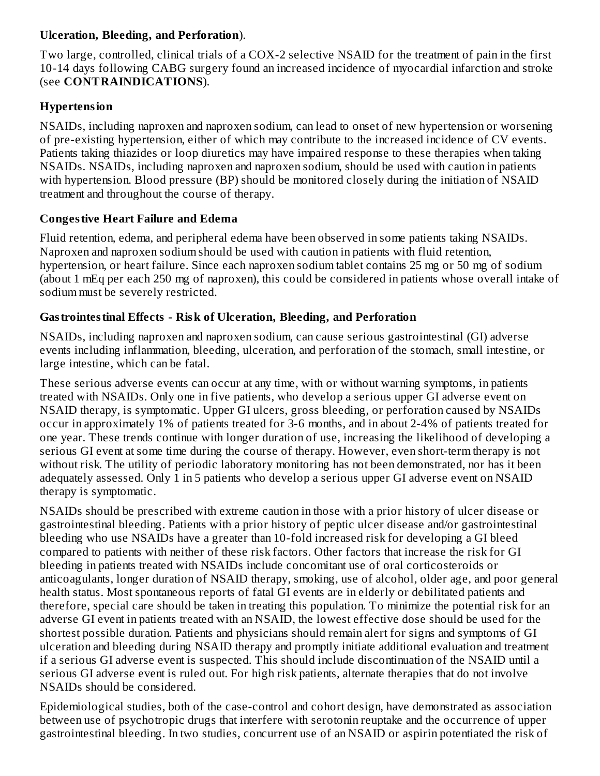#### **Ulceration, Bleeding, and Perforation**).

Two large, controlled, clinical trials of a COX-2 selective NSAID for the treatment of pain in the first 10-14 days following CABG surgery found an increased incidence of myocardial infarction and stroke (see **CONTRAINDICATIONS**).

#### **Hypertension**

NSAIDs, including naproxen and naproxen sodium, can lead to onset of new hypertension or worsening of pre-existing hypertension, either of which may contribute to the increased incidence of CV events. Patients taking thiazides or loop diuretics may have impaired response to these therapies when taking NSAIDs. NSAIDs, including naproxen and naproxen sodium, should be used with caution in patients with hypertension. Blood pressure (BP) should be monitored closely during the initiation of NSAID treatment and throughout the course of therapy.

#### **Congestive Heart Failure and Edema**

Fluid retention, edema, and peripheral edema have been observed in some patients taking NSAIDs. Naproxen and naproxen sodium should be used with caution in patients with fluid retention, hypertension, or heart failure. Since each naproxen sodium tablet contains 25 mg or 50 mg of sodium (about 1 mEq per each 250 mg of naproxen), this could be considered in patients whose overall intake of sodium must be severely restricted.

#### **Gastrointestinal Effects - Risk of Ulceration, Bleeding, and Perforation**

NSAIDs, including naproxen and naproxen sodium, can cause serious gastrointestinal (GI) adverse events including inflammation, bleeding, ulceration, and perforation of the stomach, small intestine, or large intestine, which can be fatal.

These serious adverse events can occur at any time, with or without warning symptoms, in patients treated with NSAIDs. Only one in five patients, who develop a serious upper GI adverse event on NSAID therapy, is symptomatic. Upper GI ulcers, gross bleeding, or perforation caused by NSAIDs occur in approximately 1% of patients treated for 3-6 months, and in about 2-4% of patients treated for one year. These trends continue with longer duration of use, increasing the likelihood of developing a serious GI event at some time during the course of therapy. However, even short-term therapy is not without risk. The utility of periodic laboratory monitoring has not been demonstrated, nor has it been adequately assessed. Only 1 in 5 patients who develop a serious upper GI adverse event on NSAID therapy is symptomatic.

NSAIDs should be prescribed with extreme caution in those with a prior history of ulcer disease or gastrointestinal bleeding. Patients with a prior history of peptic ulcer disease and/or gastrointestinal bleeding who use NSAIDs have a greater than 10-fold increased risk for developing a GI bleed compared to patients with neither of these risk factors. Other factors that increase the risk for GI bleeding in patients treated with NSAIDs include concomitant use of oral corticosteroids or anticoagulants, longer duration of NSAID therapy, smoking, use of alcohol, older age, and poor general health status. Most spontaneous reports of fatal GI events are in elderly or debilitated patients and therefore, special care should be taken in treating this population. To minimize the potential risk for an adverse GI event in patients treated with an NSAID, the lowest effective dose should be used for the shortest possible duration. Patients and physicians should remain alert for signs and symptoms of GI ulceration and bleeding during NSAID therapy and promptly initiate additional evaluation and treatment if a serious GI adverse event is suspected. This should include discontinuation of the NSAID until a serious GI adverse event is ruled out. For high risk patients, alternate therapies that do not involve NSAIDs should be considered.

Epidemiological studies, both of the case-control and cohort design, have demonstrated as association between use of psychotropic drugs that interfere with serotonin reuptake and the occurrence of upper gastrointestinal bleeding. In two studies, concurrent use of an NSAID or aspirin potentiated the risk of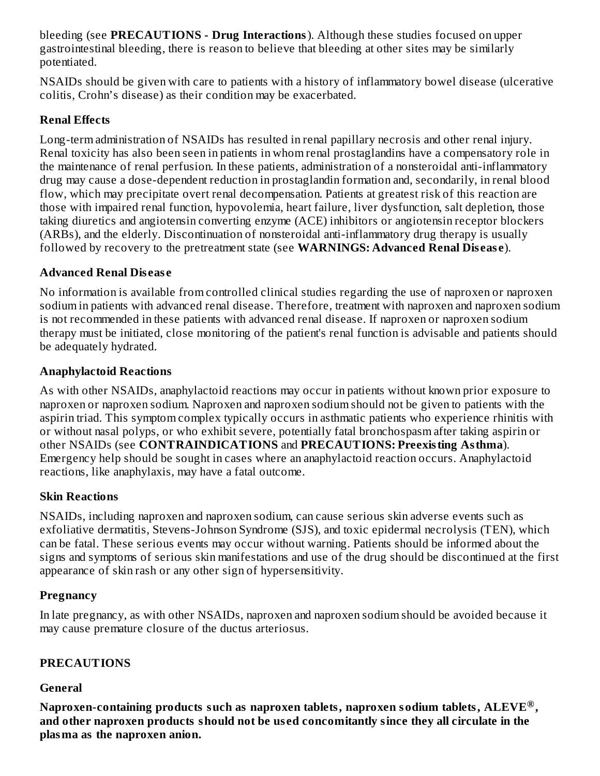bleeding (see **PRECAUTIONS - Drug Interactions**). Although these studies focused on upper gastrointestinal bleeding, there is reason to believe that bleeding at other sites may be similarly potentiated.

NSAIDs should be given with care to patients with a history of inflammatory bowel disease (ulcerative colitis, Crohn's disease) as their condition may be exacerbated.

## **Renal Effects**

Long-term administration of NSAIDs has resulted in renal papillary necrosis and other renal injury. Renal toxicity has also been seen in patients in whom renal prostaglandins have a compensatory role in the maintenance of renal perfusion. In these patients, administration of a nonsteroidal anti-inflammatory drug may cause a dose-dependent reduction in prostaglandin formation and, secondarily, in renal blood flow, which may precipitate overt renal decompensation. Patients at greatest risk of this reaction are those with impaired renal function, hypovolemia, heart failure, liver dysfunction, salt depletion, those taking diuretics and angiotensin converting enzyme (ACE) inhibitors or angiotensin receptor blockers (ARBs), and the elderly. Discontinuation of nonsteroidal anti-inflammatory drug therapy is usually followed by recovery to the pretreatment state (see **WARNINGS: Advanced Renal Dis eas e**).

### **Advanced Renal Dis eas e**

No information is available from controlled clinical studies regarding the use of naproxen or naproxen sodium in patients with advanced renal disease. Therefore, treatment with naproxen and naproxen sodium is not recommended in these patients with advanced renal disease. If naproxen or naproxen sodium therapy must be initiated, close monitoring of the patient's renal function is advisable and patients should be adequately hydrated.

### **Anaphylactoid Reactions**

As with other NSAIDs, anaphylactoid reactions may occur in patients without known prior exposure to naproxen or naproxen sodium. Naproxen and naproxen sodium should not be given to patients with the aspirin triad. This symptom complex typically occurs in asthmatic patients who experience rhinitis with or without nasal polyps, or who exhibit severe, potentially fatal bronchospasm after taking aspirin or other NSAIDs (see **CONTRAINDICATIONS** and **PRECAUTIONS: Preexisting Asthma**). Emergency help should be sought in cases where an anaphylactoid reaction occurs. Anaphylactoid reactions, like anaphylaxis, may have a fatal outcome.

#### **Skin Reactions**

NSAIDs, including naproxen and naproxen sodium, can cause serious skin adverse events such as exfoliative dermatitis, Stevens-Johnson Syndrome (SJS), and toxic epidermal necrolysis (TEN), which can be fatal. These serious events may occur without warning. Patients should be informed about the signs and symptoms of serious skin manifestations and use of the drug should be discontinued at the first appearance of skin rash or any other sign of hypersensitivity.

#### **Pregnancy**

In late pregnancy, as with other NSAIDs, naproxen and naproxen sodium should be avoided because it may cause premature closure of the ductus arteriosus.

### **PRECAUTIONS**

#### **General**

**Naproxen-containing products such as naproxen tablets, naproxen sodium tablets, ALEVE , ®and other naproxen products should not be us ed concomitantly since they all circulate in the plasma as the naproxen anion.**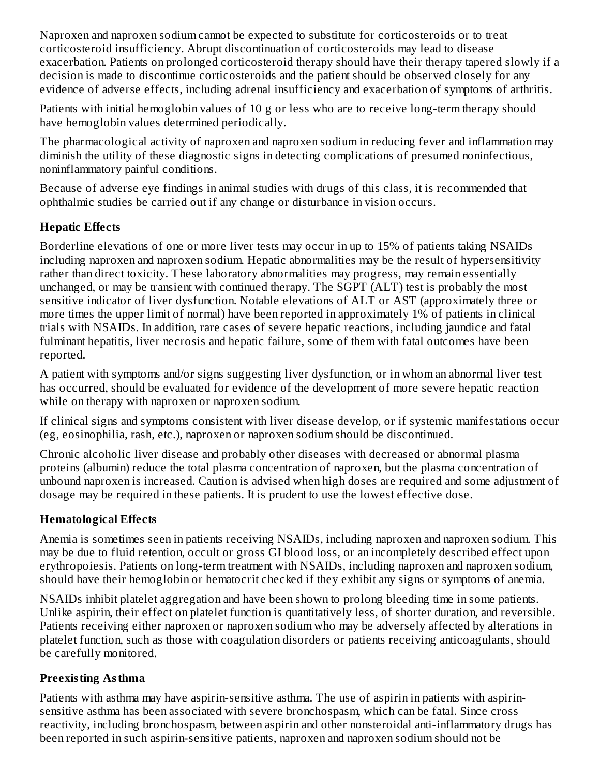Naproxen and naproxen sodium cannot be expected to substitute for corticosteroids or to treat corticosteroid insufficiency. Abrupt discontinuation of corticosteroids may lead to disease exacerbation. Patients on prolonged corticosteroid therapy should have their therapy tapered slowly if a decision is made to discontinue corticosteroids and the patient should be observed closely for any evidence of adverse effects, including adrenal insufficiency and exacerbation of symptoms of arthritis.

Patients with initial hemoglobin values of 10 g or less who are to receive long-term therapy should have hemoglobin values determined periodically.

The pharmacological activity of naproxen and naproxen sodium in reducing fever and inflammation may diminish the utility of these diagnostic signs in detecting complications of presumed noninfectious, noninflammatory painful conditions.

Because of adverse eye findings in animal studies with drugs of this class, it is recommended that ophthalmic studies be carried out if any change or disturbance in vision occurs.

## **Hepatic Effects**

Borderline elevations of one or more liver tests may occur in up to 15% of patients taking NSAIDs including naproxen and naproxen sodium. Hepatic abnormalities may be the result of hypersensitivity rather than direct toxicity. These laboratory abnormalities may progress, may remain essentially unchanged, or may be transient with continued therapy. The SGPT (ALT) test is probably the most sensitive indicator of liver dysfunction. Notable elevations of ALT or AST (approximately three or more times the upper limit of normal) have been reported in approximately 1% of patients in clinical trials with NSAIDs. In addition, rare cases of severe hepatic reactions, including jaundice and fatal fulminant hepatitis, liver necrosis and hepatic failure, some of them with fatal outcomes have been reported.

A patient with symptoms and/or signs suggesting liver dysfunction, or in whom an abnormal liver test has occurred, should be evaluated for evidence of the development of more severe hepatic reaction while on therapy with naproxen or naproxen sodium.

If clinical signs and symptoms consistent with liver disease develop, or if systemic manifestations occur (eg, eosinophilia, rash, etc.), naproxen or naproxen sodium should be discontinued.

Chronic alcoholic liver disease and probably other diseases with decreased or abnormal plasma proteins (albumin) reduce the total plasma concentration of naproxen, but the plasma concentration of unbound naproxen is increased. Caution is advised when high doses are required and some adjustment of dosage may be required in these patients. It is prudent to use the lowest effective dose.

### **Hematological Effects**

Anemia is sometimes seen in patients receiving NSAIDs, including naproxen and naproxen sodium. This may be due to fluid retention, occult or gross GI blood loss, or an incompletely described effect upon erythropoiesis. Patients on long-term treatment with NSAIDs, including naproxen and naproxen sodium, should have their hemoglobin or hematocrit checked if they exhibit any signs or symptoms of anemia.

NSAIDs inhibit platelet aggregation and have been shown to prolong bleeding time in some patients. Unlike aspirin, their effect on platelet function is quantitatively less, of shorter duration, and reversible. Patients receiving either naproxen or naproxen sodium who may be adversely affected by alterations in platelet function, such as those with coagulation disorders or patients receiving anticoagulants, should be carefully monitored.

## **Preexisting Asthma**

Patients with asthma may have aspirin-sensitive asthma. The use of aspirin in patients with aspirinsensitive asthma has been associated with severe bronchospasm, which can be fatal. Since cross reactivity, including bronchospasm, between aspirin and other nonsteroidal anti-inflammatory drugs has been reported in such aspirin-sensitive patients, naproxen and naproxen sodium should not be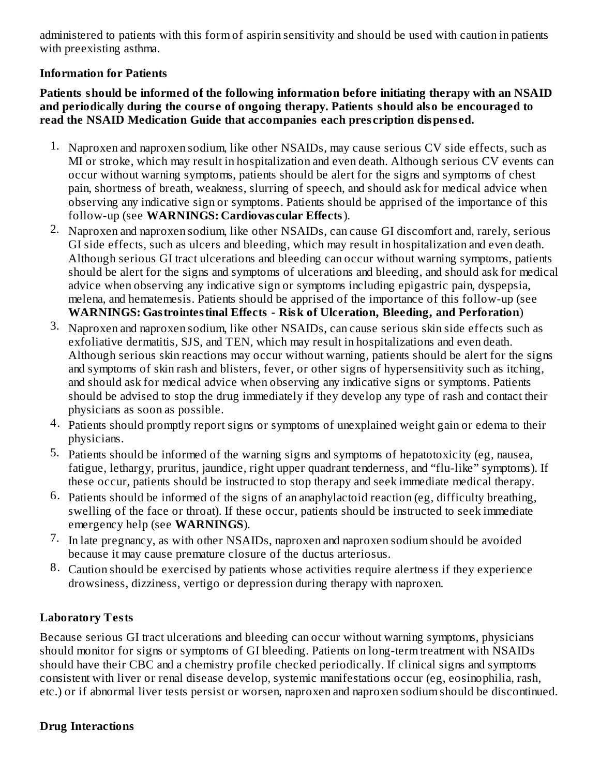administered to patients with this form of aspirin sensitivity and should be used with caution in patients with preexisting asthma.

#### **Information for Patients**

**Patients should be informed of the following information before initiating therapy with an NSAID and periodically during the cours e of ongoing therapy. Patients should also be encouraged to read the NSAID Medication Guide that accompanies each pres cription dispens ed.**

- 1. Naproxen and naproxen sodium, like other NSAIDs, may cause serious CV side effects, such as MI or stroke, which may result in hospitalization and even death. Although serious CV events can occur without warning symptoms, patients should be alert for the signs and symptoms of chest pain, shortness of breath, weakness, slurring of speech, and should ask for medical advice when observing any indicative sign or symptoms. Patients should be apprised of the importance of this follow-up (see **WARNINGS: Cardiovas cular Effects**).
- 2. Naproxen and naproxen sodium, like other NSAIDs, can cause GI discomfort and, rarely, serious GI side effects, such as ulcers and bleeding, which may result in hospitalization and even death. Although serious GI tract ulcerations and bleeding can occur without warning symptoms, patients should be alert for the signs and symptoms of ulcerations and bleeding, and should ask for medical advice when observing any indicative sign or symptoms including epigastric pain, dyspepsia, melena, and hematemesis. Patients should be apprised of the importance of this follow-up (see **WARNINGS: Gastrointestinal Effects - Risk of Ulceration, Bleeding, and Perforation**)
- 3. Naproxen and naproxen sodium, like other NSAIDs, can cause serious skin side effects such as exfoliative dermatitis, SJS, and TEN, which may result in hospitalizations and even death. Although serious skin reactions may occur without warning, patients should be alert for the signs and symptoms of skin rash and blisters, fever, or other signs of hypersensitivity such as itching, and should ask for medical advice when observing any indicative signs or symptoms. Patients should be advised to stop the drug immediately if they develop any type of rash and contact their physicians as soon as possible.
- 4. Patients should promptly report signs or symptoms of unexplained weight gain or edema to their physicians.
- 5. Patients should be informed of the warning signs and symptoms of hepatotoxicity (eg, nausea, fatigue, lethargy, pruritus, jaundice, right upper quadrant tenderness, and "flu-like" symptoms). If these occur, patients should be instructed to stop therapy and seek immediate medical therapy.
- 6. Patients should be informed of the signs of an anaphylactoid reaction (eg, difficulty breathing, swelling of the face or throat). If these occur, patients should be instructed to seek immediate emergency help (see **WARNINGS**).
- 7. In late pregnancy, as with other NSAIDs, naproxen and naproxen sodium should be avoided because it may cause premature closure of the ductus arteriosus.
- 8. Caution should be exercised by patients whose activities require alertness if they experience drowsiness, dizziness, vertigo or depression during therapy with naproxen.

#### **Laboratory Tests**

Because serious GI tract ulcerations and bleeding can occur without warning symptoms, physicians should monitor for signs or symptoms of GI bleeding. Patients on long-term treatment with NSAIDs should have their CBC and a chemistry profile checked periodically. If clinical signs and symptoms consistent with liver or renal disease develop, systemic manifestations occur (eg, eosinophilia, rash, etc.) or if abnormal liver tests persist or worsen, naproxen and naproxen sodium should be discontinued.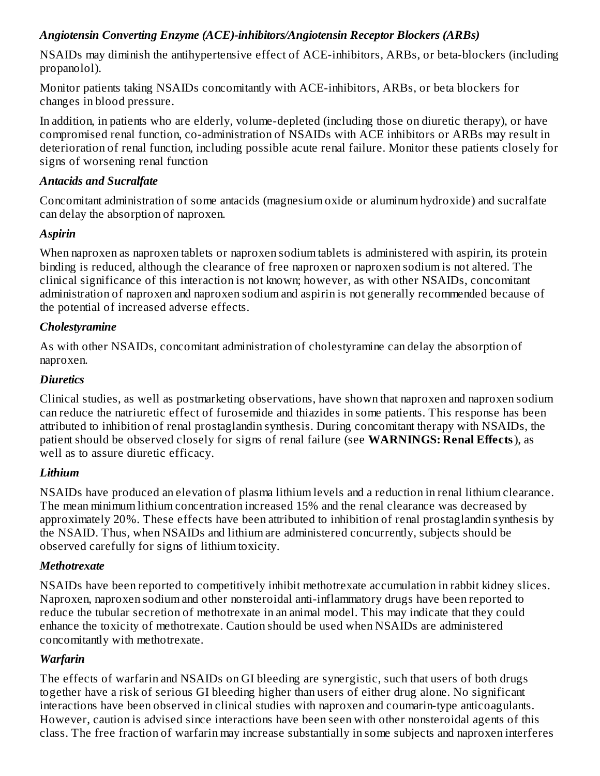#### *Angiotensin Converting Enzyme (ACE)-inhibitors/Angiotensin Receptor Blockers (ARBs)*

NSAIDs may diminish the antihypertensive effect of ACE-inhibitors, ARBs, or beta-blockers (including propanolol).

Monitor patients taking NSAIDs concomitantly with ACE-inhibitors, ARBs, or beta blockers for changes in blood pressure.

In addition, in patients who are elderly, volume-depleted (including those on diuretic therapy), or have compromised renal function, co-administration of NSAIDs with ACE inhibitors or ARBs may result in deterioration of renal function, including possible acute renal failure. Monitor these patients closely for signs of worsening renal function

#### *Antacids and Sucralfate*

Concomitant administration of some antacids (magnesium oxide or aluminum hydroxide) and sucralfate can delay the absorption of naproxen.

### *Aspirin*

When naproxen as naproxen tablets or naproxen sodium tablets is administered with aspirin, its protein binding is reduced, although the clearance of free naproxen or naproxen sodium is not altered. The clinical significance of this interaction is not known; however, as with other NSAIDs, concomitant administration of naproxen and naproxen sodium and aspirin is not generally recommended because of the potential of increased adverse effects.

#### *Cholestyramine*

As with other NSAIDs, concomitant administration of cholestyramine can delay the absorption of naproxen.

### *Diuretics*

Clinical studies, as well as postmarketing observations, have shown that naproxen and naproxen sodium can reduce the natriuretic effect of furosemide and thiazides in some patients. This response has been attributed to inhibition of renal prostaglandin synthesis. During concomitant therapy with NSAIDs, the patient should be observed closely for signs of renal failure (see **WARNINGS: Renal Effects**), as well as to assure diuretic efficacy.

### *Lithium*

NSAIDs have produced an elevation of plasma lithium levels and a reduction in renal lithium clearance. The mean minimum lithium concentration increased 15% and the renal clearance was decreased by approximately 20%. These effects have been attributed to inhibition of renal prostaglandin synthesis by the NSAID. Thus, when NSAIDs and lithium are administered concurrently, subjects should be observed carefully for signs of lithium toxicity.

#### *Methotrexate*

NSAIDs have been reported to competitively inhibit methotrexate accumulation in rabbit kidney slices. Naproxen, naproxen sodium and other nonsteroidal anti-inflammatory drugs have been reported to reduce the tubular secretion of methotrexate in an animal model. This may indicate that they could enhance the toxicity of methotrexate. Caution should be used when NSAIDs are administered concomitantly with methotrexate.

### *Warfarin*

The effects of warfarin and NSAIDs on GI bleeding are synergistic, such that users of both drugs together have a risk of serious GI bleeding higher than users of either drug alone. No significant interactions have been observed in clinical studies with naproxen and coumarin-type anticoagulants. However, caution is advised since interactions have been seen with other nonsteroidal agents of this class. The free fraction of warfarin may increase substantially in some subjects and naproxen interferes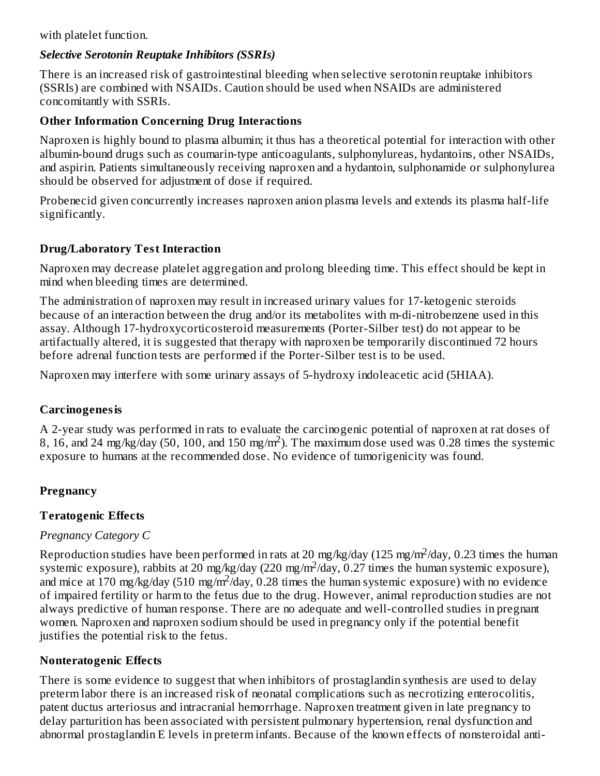with platelet function.

#### *Selective Serotonin Reuptake Inhibitors (SSRIs)*

There is an increased risk of gastrointestinal bleeding when selective serotonin reuptake inhibitors (SSRIs) are combined with NSAIDs. Caution should be used when NSAIDs are administered concomitantly with SSRIs.

#### **Other Information Concerning Drug Interactions**

Naproxen is highly bound to plasma albumin; it thus has a theoretical potential for interaction with other albumin-bound drugs such as coumarin-type anticoagulants, sulphonylureas, hydantoins, other NSAIDs, and aspirin. Patients simultaneously receiving naproxen and a hydantoin, sulphonamide or sulphonylurea should be observed for adjustment of dose if required.

Probenecid given concurrently increases naproxen anion plasma levels and extends its plasma half-life significantly.

#### **Drug/Laboratory Test Interaction**

Naproxen may decrease platelet aggregation and prolong bleeding time. This effect should be kept in mind when bleeding times are determined.

The administration of naproxen may result in increased urinary values for 17-ketogenic steroids because of an interaction between the drug and/or its metabolites with m-di-nitrobenzene used in this assay. Although 17-hydroxycorticosteroid measurements (Porter-Silber test) do not appear to be artifactually altered, it is suggested that therapy with naproxen be temporarily discontinued 72 hours before adrenal function tests are performed if the Porter-Silber test is to be used.

Naproxen may interfere with some urinary assays of 5-hydroxy indoleacetic acid (5HIAA).

### **Carcinogenesis**

A 2-year study was performed in rats to evaluate the carcinogenic potential of naproxen at rat doses of 8, 16, and 24 mg/kg/day (50, 100, and 150 mg/m<sup>2</sup>). The maximum dose used was 0.28 times the systemic exposure to humans at the recommended dose. No evidence of tumorigenicity was found.

### **Pregnancy**

### **Teratogenic Effects**

### *Pregnancy Category C*

Reproduction studies have been performed in rats at 20 mg/kg/day (125 mg/m<sup>2</sup>/day, 0.23 times the human systemic exposure), rabbits at 20 mg/kg/day (220 mg/m<sup>2</sup>/day, 0.27 times the human systemic exposure), and mice at 170 mg/kg/day (510 mg/m<sup>2</sup>/day, 0.28 times the human systemic exposure) with no evidence of impaired fertility or harm to the fetus due to the drug. However, animal reproduction studies are not always predictive of human response. There are no adequate and well-controlled studies in pregnant women. Naproxen and naproxen sodium should be used in pregnancy only if the potential benefit justifies the potential risk to the fetus.

#### **Nonteratogenic Effects**

There is some evidence to suggest that when inhibitors of prostaglandin synthesis are used to delay preterm labor there is an increased risk of neonatal complications such as necrotizing enterocolitis, patent ductus arteriosus and intracranial hemorrhage. Naproxen treatment given in late pregnancy to delay parturition has been associated with persistent pulmonary hypertension, renal dysfunction and abnormal prostaglandin E levels in preterm infants. Because of the known effects of nonsteroidal anti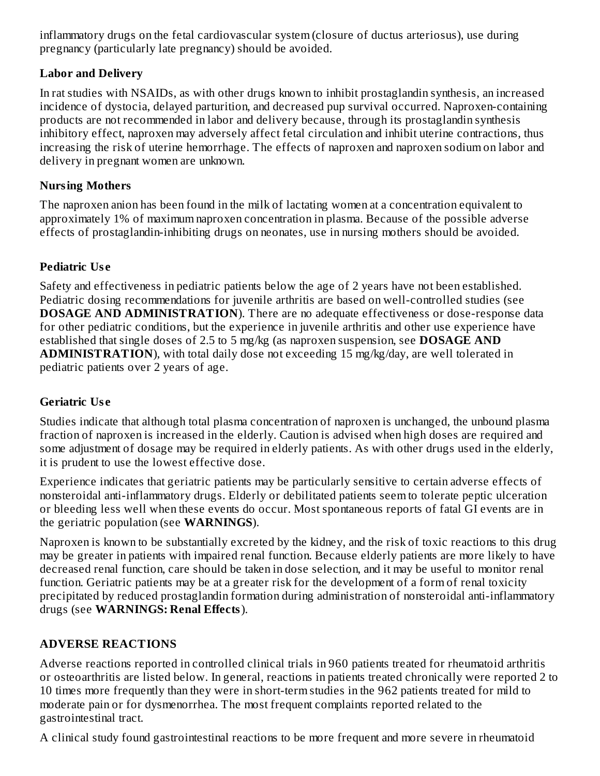inflammatory drugs on the fetal cardiovascular system (closure of ductus arteriosus), use during pregnancy (particularly late pregnancy) should be avoided.

## **Labor and Delivery**

In rat studies with NSAIDs, as with other drugs known to inhibit prostaglandin synthesis, an increased incidence of dystocia, delayed parturition, and decreased pup survival occurred. Naproxen-containing products are not recommended in labor and delivery because, through its prostaglandin synthesis inhibitory effect, naproxen may adversely affect fetal circulation and inhibit uterine contractions, thus increasing the risk of uterine hemorrhage. The effects of naproxen and naproxen sodium on labor and delivery in pregnant women are unknown.

## **Nursing Mothers**

The naproxen anion has been found in the milk of lactating women at a concentration equivalent to approximately 1% of maximum naproxen concentration in plasma. Because of the possible adverse effects of prostaglandin-inhibiting drugs on neonates, use in nursing mothers should be avoided.

## **Pediatric Us e**

Safety and effectiveness in pediatric patients below the age of 2 years have not been established. Pediatric dosing recommendations for juvenile arthritis are based on well-controlled studies (see **DOSAGE AND ADMINISTRATION**). There are no adequate effectiveness or dose-response data for other pediatric conditions, but the experience in juvenile arthritis and other use experience have established that single doses of 2.5 to 5 mg/kg (as naproxen suspension, see **DOSAGE AND ADMINISTRATION**), with total daily dose not exceeding 15 mg/kg/day, are well tolerated in pediatric patients over 2 years of age.

## **Geriatric Us e**

Studies indicate that although total plasma concentration of naproxen is unchanged, the unbound plasma fraction of naproxen is increased in the elderly. Caution is advised when high doses are required and some adjustment of dosage may be required in elderly patients. As with other drugs used in the elderly, it is prudent to use the lowest effective dose.

Experience indicates that geriatric patients may be particularly sensitive to certain adverse effects of nonsteroidal anti-inflammatory drugs. Elderly or debilitated patients seem to tolerate peptic ulceration or bleeding less well when these events do occur. Most spontaneous reports of fatal GI events are in the geriatric population (see **WARNINGS**).

Naproxen is known to be substantially excreted by the kidney, and the risk of toxic reactions to this drug may be greater in patients with impaired renal function. Because elderly patients are more likely to have decreased renal function, care should be taken in dose selection, and it may be useful to monitor renal function. Geriatric patients may be at a greater risk for the development of a form of renal toxicity precipitated by reduced prostaglandin formation during administration of nonsteroidal anti-inflammatory drugs (see **WARNINGS: Renal Effects**).

## **ADVERSE REACTIONS**

Adverse reactions reported in controlled clinical trials in 960 patients treated for rheumatoid arthritis or osteoarthritis are listed below. In general, reactions in patients treated chronically were reported 2 to 10 times more frequently than they were in short-term studies in the 962 patients treated for mild to moderate pain or for dysmenorrhea. The most frequent complaints reported related to the gastrointestinal tract.

A clinical study found gastrointestinal reactions to be more frequent and more severe in rheumatoid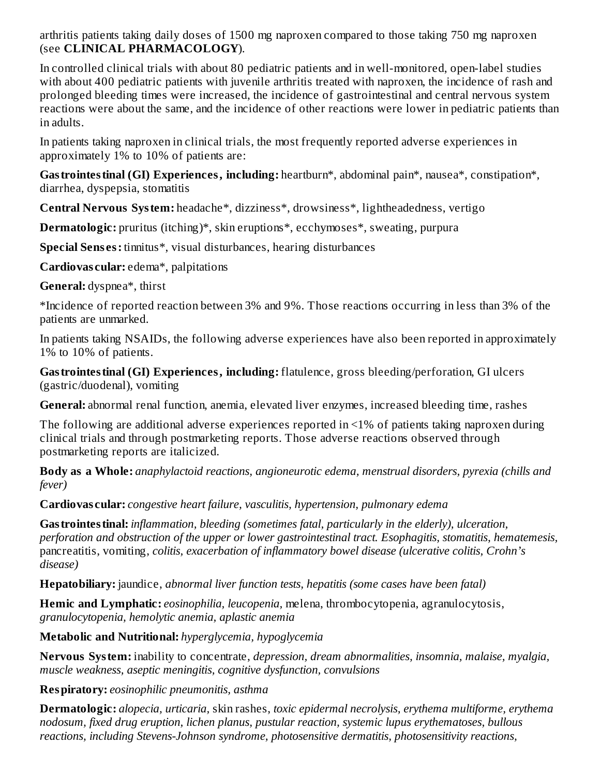arthritis patients taking daily doses of 1500 mg naproxen compared to those taking 750 mg naproxen (see **CLINICAL PHARMACOLOGY**).

In controlled clinical trials with about 80 pediatric patients and in well-monitored, open-label studies with about 400 pediatric patients with juvenile arthritis treated with naproxen, the incidence of rash and prolonged bleeding times were increased, the incidence of gastrointestinal and central nervous system reactions were about the same, and the incidence of other reactions were lower in pediatric patients than in adults.

In patients taking naproxen in clinical trials, the most frequently reported adverse experiences in approximately 1% to 10% of patients are:

**Gastrointestinal (GI) Experiences, including:** heartburn\*, abdominal pain\*, nausea\*, constipation\*, diarrhea, dyspepsia, stomatitis

**Central Nervous System:** headache\*, dizziness\*, drowsiness\*, lightheadedness, vertigo

**Dermatologic:** pruritus (itching)\*, skin eruptions\*, ecchymoses\*, sweating, purpura

**Special Sens es:** tinnitus\*, visual disturbances, hearing disturbances

**Cardiovas cular:** edema\*, palpitations

**General:** dyspnea\*, thirst

\*Incidence of reported reaction between 3% and 9%. Those reactions occurring in less than 3% of the patients are unmarked.

In patients taking NSAIDs, the following adverse experiences have also been reported in approximately 1% to 10% of patients.

**Gastrointestinal (GI) Experiences, including:** flatulence, gross bleeding/perforation, GI ulcers (gastric/duodenal), vomiting

**General:** abnormal renal function, anemia, elevated liver enzymes, increased bleeding time, rashes

The following are additional adverse experiences reported in <1% of patients taking naproxen during clinical trials and through postmarketing reports. Those adverse reactions observed through postmarketing reports are italicized.

**Body as a Whole:** *anaphylactoid reactions, angioneurotic edema, menstrual disorders, pyrexia (chills and fever)*

**Cardiovas cular:** *congestive heart failure, vasculitis, hypertension, pulmonary edema*

**Gastrointestinal:** *inflammation, bleeding (sometimes fatal, particularly in the elderly), ulceration, perforation and obstruction of the upper or lower gastrointestinal tract. Esophagitis, stomatitis, hematemesis,* pancreatitis, vomiting, *colitis, exacerbation of inflammatory bowel disease (ulcerative colitis, Crohn's disease)*

**Hepatobiliary:** jaundice, *abnormal liver function tests, hepatitis (some cases have been fatal)*

**Hemic and Lymphatic:** *eosinophilia, leucopenia,* melena, thrombocytopenia, agranulocytosis, *granulocytopenia, hemolytic anemia, aplastic anemia*

**Metabolic and Nutritional:** *hyperglycemia, hypoglycemia*

**Nervous System:** inability to concentrate, *depression, dream abnormalities, insomnia, malaise, myalgia, muscle weakness, aseptic meningitis, cognitive dysfunction, convulsions*

**Respiratory:** *eosinophilic pneumonitis, asthma*

**Dermatologic:** *alopecia, urticaria,* skin rashes, *toxic epidermal necrolysis, erythema multiforme, erythema nodosum, fixed drug eruption, lichen planus, pustular reaction, systemic lupus erythematoses, bullous reactions, including Stevens-Johnson syndrome, photosensitive dermatitis, photosensitivity reactions,*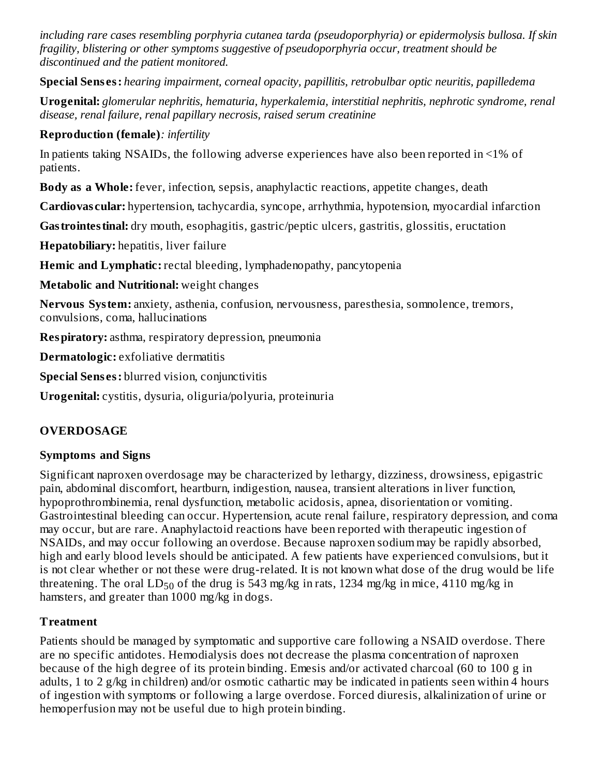*including rare cases resembling porphyria cutanea tarda (pseudoporphyria) or epidermolysis bullosa. If skin fragility, blistering or other symptoms suggestive of pseudoporphyria occur, treatment should be discontinued and the patient monitored.*

**Special Sens es:** *hearing impairment, corneal opacity, papillitis, retrobulbar optic neuritis, papilledema*

**Urogenital:** *glomerular nephritis, hematuria, hyperkalemia, interstitial nephritis, nephrotic syndrome, renal disease, renal failure, renal papillary necrosis, raised serum creatinine*

## **Reproduction (female)***: infertility*

In patients taking NSAIDs, the following adverse experiences have also been reported in <1% of patients.

**Body as a Whole:** fever, infection, sepsis, anaphylactic reactions, appetite changes, death

**Cardiovas cular:** hypertension, tachycardia, syncope, arrhythmia, hypotension, myocardial infarction

Gastrointestinal: dry mouth, esophagitis, gastric/peptic ulcers, gastritis, glossitis, eructation

**Hepatobiliary:** hepatitis, liver failure

**Hemic and Lymphatic:** rectal bleeding, lymphadenopathy, pancytopenia

**Metabolic and Nutritional:** weight changes

**Nervous System:** anxiety, asthenia, confusion, nervousness, paresthesia, somnolence, tremors, convulsions, coma, hallucinations

**Respiratory:** asthma, respiratory depression, pneumonia

**Dermatologic:** exfoliative dermatitis

**Special Sens es:** blurred vision, conjunctivitis

**Urogenital:** cystitis, dysuria, oliguria/polyuria, proteinuria

## **OVERDOSAGE**

### **Symptoms and Signs**

Significant naproxen overdosage may be characterized by lethargy, dizziness, drowsiness, epigastric pain, abdominal discomfort, heartburn, indigestion, nausea, transient alterations in liver function, hypoprothrombinemia, renal dysfunction, metabolic acidosis, apnea, disorientation or vomiting. Gastrointestinal bleeding can occur. Hypertension, acute renal failure, respiratory depression, and coma may occur, but are rare. Anaphylactoid reactions have been reported with therapeutic ingestion of NSAIDs, and may occur following an overdose. Because naproxen sodium may be rapidly absorbed, high and early blood levels should be anticipated. A few patients have experienced convulsions, but it is not clear whether or not these were drug-related. It is not known what dose of the drug would be life threatening. The oral  $LD_{50}$  of the drug is 543 mg/kg in rats, 1234 mg/kg in mice, 4110 mg/kg in hamsters, and greater than 1000 mg/kg in dogs.

### **Treatment**

Patients should be managed by symptomatic and supportive care following a NSAID overdose. There are no specific antidotes. Hemodialysis does not decrease the plasma concentration of naproxen because of the high degree of its protein binding. Emesis and/or activated charcoal (60 to 100 g in adults, 1 to 2 g/kg in children) and/or osmotic cathartic may be indicated in patients seen within 4 hours of ingestion with symptoms or following a large overdose. Forced diuresis, alkalinization of urine or hemoperfusion may not be useful due to high protein binding.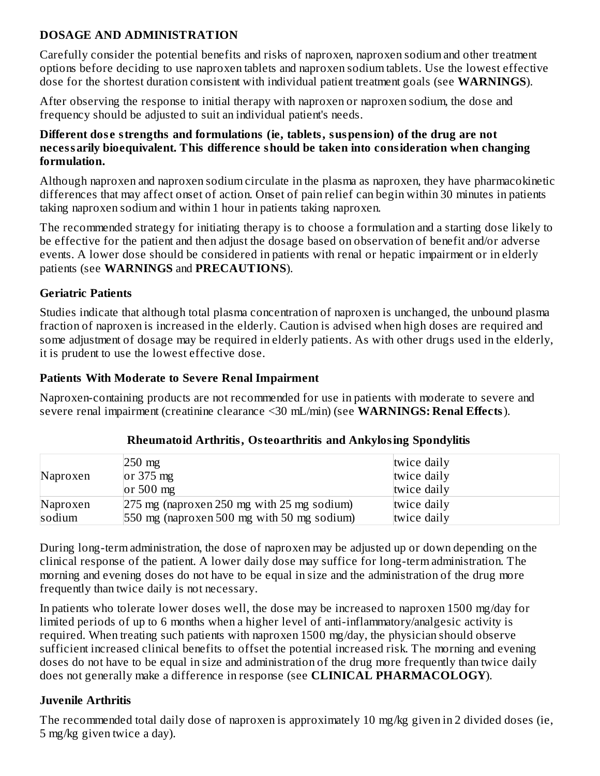#### **DOSAGE AND ADMINISTRATION**

Carefully consider the potential benefits and risks of naproxen, naproxen sodium and other treatment options before deciding to use naproxen tablets and naproxen sodium tablets. Use the lowest effective dose for the shortest duration consistent with individual patient treatment goals (see **WARNINGS**).

After observing the response to initial therapy with naproxen or naproxen sodium, the dose and frequency should be adjusted to suit an individual patient's needs.

#### **Different dos e strengths and formulations (ie, tablets, suspension) of the drug are not necessarily bioequivalent. This difference should be taken into consideration when changing formulation.**

Although naproxen and naproxen sodium circulate in the plasma as naproxen, they have pharmacokinetic differences that may affect onset of action. Onset of pain relief can begin within 30 minutes in patients taking naproxen sodium and within 1 hour in patients taking naproxen.

The recommended strategy for initiating therapy is to choose a formulation and a starting dose likely to be effective for the patient and then adjust the dosage based on observation of benefit and/or adverse events. A lower dose should be considered in patients with renal or hepatic impairment or in elderly patients (see **WARNINGS** and **PRECAUTIONS**).

#### **Geriatric Patients**

Studies indicate that although total plasma concentration of naproxen is unchanged, the unbound plasma fraction of naproxen is increased in the elderly. Caution is advised when high doses are required and some adjustment of dosage may be required in elderly patients. As with other drugs used in the elderly, it is prudent to use the lowest effective dose.

#### **Patients With Moderate to Severe Renal Impairment**

Naproxen-containing products are not recommended for use in patients with moderate to severe and severe renal impairment (creatinine clearance <30 mL/min) (see **WARNINGS: Renal Effects**).

|          | $250$ mg                                              | twice daily |
|----------|-------------------------------------------------------|-------------|
| Naproxen | or $375 \text{ mg}$                                   | twice daily |
|          | or $500 \text{ mg}$                                   | twice daily |
| Naproxen | $ 275 \text{ mg}$ (naproxen 250 mg with 25 mg sodium) | twice daily |
| sodium   | 550 mg (naproxen 500 mg with 50 mg sodium)            | twice daily |

#### **Rheumatoid Arthritis, Osteoarthritis and Ankylosing Spondylitis**

During long-term administration, the dose of naproxen may be adjusted up or down depending on the clinical response of the patient. A lower daily dose may suffice for long-term administration. The morning and evening doses do not have to be equal in size and the administration of the drug more frequently than twice daily is not necessary.

In patients who tolerate lower doses well, the dose may be increased to naproxen 1500 mg/day for limited periods of up to 6 months when a higher level of anti-inflammatory/analgesic activity is required. When treating such patients with naproxen 1500 mg/day, the physician should observe sufficient increased clinical benefits to offset the potential increased risk. The morning and evening doses do not have to be equal in size and administration of the drug more frequently than twice daily does not generally make a difference in response (see **CLINICAL PHARMACOLOGY**).

### **Juvenile Arthritis**

The recommended total daily dose of naproxen is approximately 10 mg/kg given in 2 divided doses (ie, 5 mg/kg given twice a day).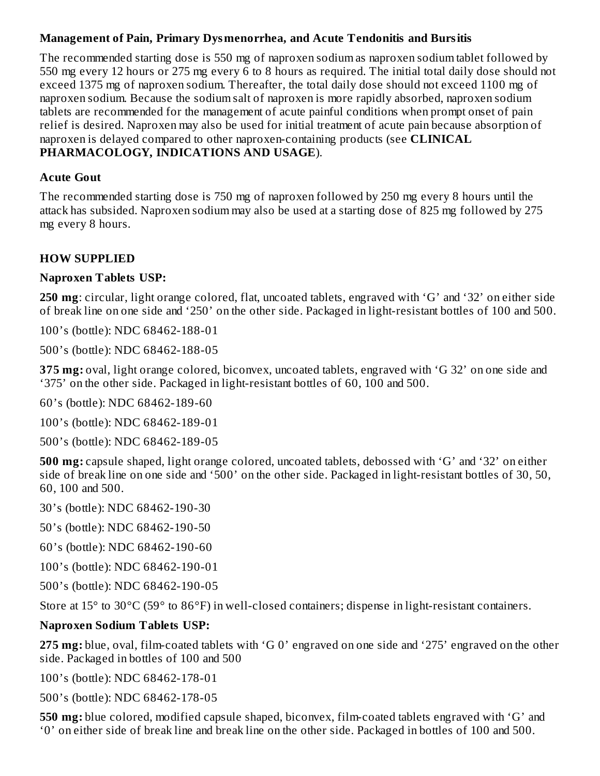#### **Management of Pain, Primary Dysmenorrhea, and Acute Tendonitis and Bursitis**

The recommended starting dose is 550 mg of naproxen sodium as naproxen sodium tablet followed by 550 mg every 12 hours or 275 mg every 6 to 8 hours as required. The initial total daily dose should not exceed 1375 mg of naproxen sodium. Thereafter, the total daily dose should not exceed 1100 mg of naproxen sodium. Because the sodium salt of naproxen is more rapidly absorbed, naproxen sodium tablets are recommended for the management of acute painful conditions when prompt onset of pain relief is desired. Naproxen may also be used for initial treatment of acute pain because absorption of naproxen is delayed compared to other naproxen-containing products (see **CLINICAL**

#### **PHARMACOLOGY, INDICATIONS AND USAGE**).

#### **Acute Gout**

The recommended starting dose is 750 mg of naproxen followed by 250 mg every 8 hours until the attack has subsided. Naproxen sodium may also be used at a starting dose of 825 mg followed by 275 mg every 8 hours.

#### **HOW SUPPLIED**

#### **Naproxen Tablets USP:**

**250 mg**: circular, light orange colored, flat, uncoated tablets, engraved with 'G' and '32' on either side of break line on one side and '250' on the other side. Packaged in light-resistant bottles of 100 and 500.

100's (bottle): NDC 68462-188-01

500's (bottle): NDC 68462-188-05

**375 mg:** oval, light orange colored, biconvex, uncoated tablets, engraved with 'G 32' on one side and '375' on the other side. Packaged in light-resistant bottles of 60, 100 and 500.

60's (bottle): NDC 68462-189-60

100's (bottle): NDC 68462-189-01

500's (bottle): NDC 68462-189-05

**500 mg:** capsule shaped, light orange colored, uncoated tablets, debossed with 'G' and '32' on either side of break line on one side and '500' on the other side. Packaged in light-resistant bottles of 30, 50, 60, 100 and 500.

30's (bottle): NDC 68462-190-30

50's (bottle): NDC 68462-190-50

60's (bottle): NDC 68462-190-60

100's (bottle): NDC 68462-190-01

500's (bottle): NDC 68462-190-05

Store at 15° to 30°C (59° to 86°F) in well-closed containers; dispense in light-resistant containers.

#### **Naproxen Sodium Tablets USP:**

**275 mg:** blue, oval, film-coated tablets with 'G 0' engraved on one side and '275' engraved on the other side. Packaged in bottles of 100 and 500

100's (bottle): NDC 68462-178-01

500's (bottle): NDC 68462-178-05

**550 mg:** blue colored, modified capsule shaped, biconvex, film-coated tablets engraved with 'G' and '0' on either side of break line and break line on the other side. Packaged in bottles of 100 and 500.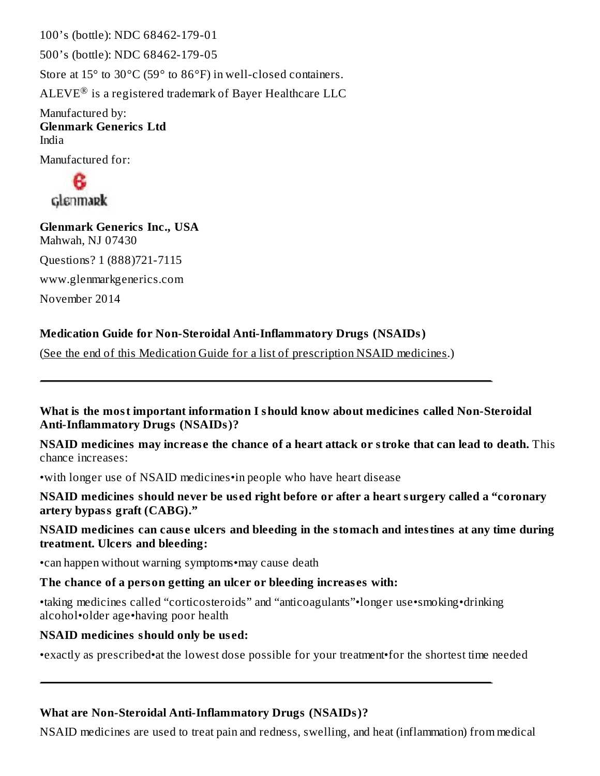100's (bottle): NDC 68462-179-01

500's (bottle): NDC 68462-179-05

Store at 15° to 30°C (59° to 86°F) in well-closed containers.

 $\mathsf{ALEVE}^{\circledR}$  is a registered trademark of Bayer Healthcare  $\mathsf{LLC}$ 

Manufactured by: **Glenmark Generics Ltd** India

Manufactured for:



**Glenmark Generics Inc., USA** Mahwah, NJ 07430 Questions? 1 (888)721-7115

www.glenmarkgenerics.com

November 2014

#### **Medication Guide for Non-Steroidal Anti-Inflammatory Drugs (NSAIDs)**

(See the end of this Medication Guide for a list of prescription NSAID medicines.)

**What is the most important information I should know about medicines called Non-Steroidal Anti-Inflammatory Drugs (NSAIDs)?**

**NSAID medicines may increas e the chance of a heart attack or stroke that can lead to death.** This chance increases:

•with longer use of NSAID medicines•in people who have heart disease

**NSAID medicines should never be us ed right before or after a heart surgery called a "coronary artery bypass graft (CABG)."**

**NSAID medicines can caus e ulcers and bleeding in the stomach and intestines at any time during treatment. Ulcers and bleeding:**

•can happen without warning symptoms•may cause death

#### **The chance of a person getting an ulcer or bleeding increas es with:**

•taking medicines called "corticosteroids" and "anticoagulants"•longer use•smoking•drinking alcohol•older age•having poor health

#### **NSAID medicines should only be us ed:**

•exactly as prescribed•at the lowest dose possible for your treatment•for the shortest time needed

#### **What are Non-Steroidal Anti-Inflammatory Drugs (NSAIDs)?**

NSAID medicines are used to treat pain and redness, swelling, and heat (inflammation) from medical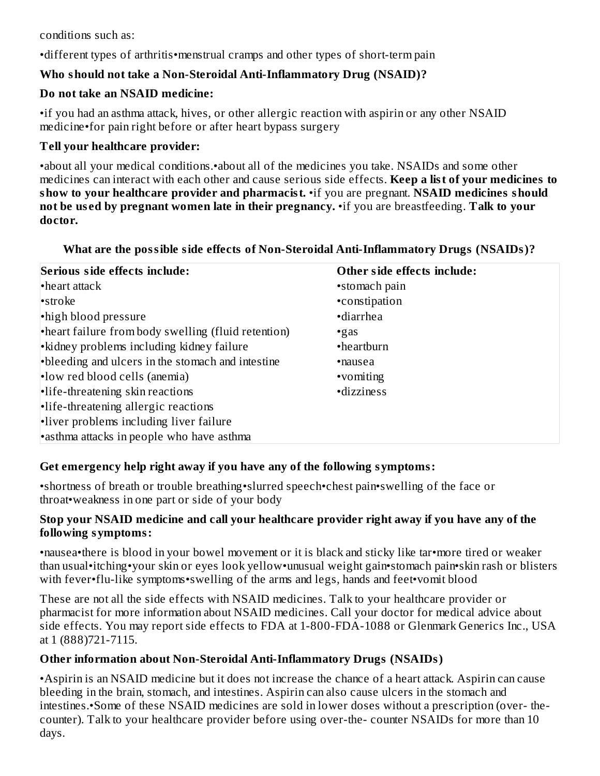conditions such as:

•different types of arthritis•menstrual cramps and other types of short-term pain

## **Who should not take a Non-Steroidal Anti-Inflammatory Drug (NSAID)?**

### **Do not take an NSAID medicine:**

•if you had an asthma attack, hives, or other allergic reaction with aspirin or any other NSAID medicine•for pain right before or after heart bypass surgery

### **Tell your healthcare provider:**

•about all your medical conditions.•about all of the medicines you take. NSAIDs and some other medicines can interact with each other and cause serious side effects. **Keep a list of your medicines to show to your healthcare provider and pharmacist.** •if you are pregnant. **NSAID medicines should not be us ed by pregnant women late in their pregnancy.** •if you are breastfeeding. **Talk to your doctor.**

#### **What are the possible side effects of Non-Steroidal Anti-Inflammatory Drugs (NSAIDs)?**

| Serious side effects include:                        | Other side effects include: |  |
|------------------------------------------------------|-----------------------------|--|
| $\bullet$ heart attack                               | •stomach pain               |  |
| $\bullet$ stroke                                     | •constipation               |  |
| • high blood pressure                                | ·diarrhea                   |  |
| • heart failure from body swelling (fluid retention) | $\cdot$ gas                 |  |
| • kidney problems including kidney failure           | •heartburn                  |  |
| •bleeding and ulcers in the stomach and intestine    | •nausea                     |  |
| low red blood cells (anemia)                         | •vomiting                   |  |
| life-threatening skin reactions                      | ·dizziness                  |  |
| life-threatening allergic reactions                  |                             |  |
| liver problems including liver failure               |                             |  |
| • asthma attacks in people who have asthma           |                             |  |

### **Get emergency help right away if you have any of the following symptoms:**

•shortness of breath or trouble breathing•slurred speech•chest pain•swelling of the face or throat•weakness in one part or side of your body

#### **Stop your NSAID medicine and call your healthcare provider right away if you have any of the following symptoms:**

•nausea•there is blood in your bowel movement or it is black and sticky like tar•more tired or weaker than usual•itching•your skin or eyes look yellow•unusual weight gain•stomach pain•skin rash or blisters with fever•flu-like symptoms•swelling of the arms and legs, hands and feet•vomit blood

These are not all the side effects with NSAID medicines. Talk to your healthcare provider or pharmacist for more information about NSAID medicines. Call your doctor for medical advice about side effects. You may report side effects to FDA at 1-800-FDA-1088 or Glenmark Generics Inc., USA at 1 (888)721-7115.

### **Other information about Non-Steroidal Anti-Inflammatory Drugs (NSAIDs)**

•Aspirin is an NSAID medicine but it does not increase the chance of a heart attack. Aspirin can cause bleeding in the brain, stomach, and intestines. Aspirin can also cause ulcers in the stomach and intestines.•Some of these NSAID medicines are sold in lower doses without a prescription (over- thecounter). Talk to your healthcare provider before using over-the- counter NSAIDs for more than 10 days.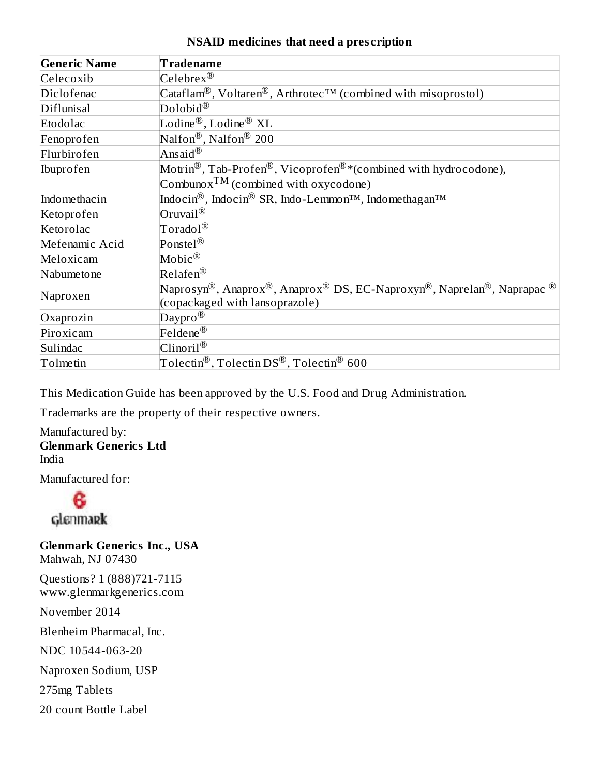|  | <b>NSAID medicines that need a prescription</b> |
|--|-------------------------------------------------|
|  |                                                 |

| <b>Generic Name</b> | <b>Tradename</b>                                                                                                                                                   |
|---------------------|--------------------------------------------------------------------------------------------------------------------------------------------------------------------|
| Celecoxib           | Celebrex $^{\circledR}$                                                                                                                                            |
| Diclofenac          | Cataflam®, Voltaren®, Arthrotec™ (combined with misoprostol)                                                                                                       |
| Diflunisal          | Dolobid®                                                                                                                                                           |
| Etodolac            | Lodine®, Lodine® XL                                                                                                                                                |
| Fenoprofen          | Nalfon <sup>®</sup> , Nalfon <sup>®</sup> 200                                                                                                                      |
| Flurbirofen         | Ansaid $^{\circledR}$                                                                                                                                              |
| Ibuprofen           | Motrin <sup>®</sup> , Tab-Profen®, Vicoprofen®*(combined with hydrocodone),                                                                                        |
|                     | Combuno $x^{TM}$ (combined with oxycodone)                                                                                                                         |
| Indomethacin        | Indocin <sup>®</sup> , Indocin <sup>®</sup> SR, Indo-Lemmon™, Indomethagan™                                                                                        |
| Ketoprofen          | Oruvail <sup>®</sup>                                                                                                                                               |
| Ketorolac           | $\operatorname{\mathsf{Toradol}}^{\circledR}$                                                                                                                      |
| Mefenamic Acid      | Ponstel $^{\circledR}$                                                                                                                                             |
| Meloxicam           | Mobic $^\circledR$                                                                                                                                                 |
| Nabumetone          | Relafen <sup>®</sup>                                                                                                                                               |
|                     | $\mathbb N$ aprosyn $^\circledR$ , Anaprox $^\circledR$ , Anaprox $^\circledR$ DS, EC-Naproxyn $^\circledR$ , Naprelan $^\circledR$ , Naprapac $^\circledR$        |
| Naproxen            | (copackaged with lansoprazole)                                                                                                                                     |
| Oxaprozin           | Daypro <sup>®</sup>                                                                                                                                                |
| Piroxicam           | Feldene <sup>®</sup>                                                                                                                                               |
| Sulindac            | $Clinoril^{\circledR}$                                                                                                                                             |
| Tolmetin            | $\mathop{\rm Tolectin}\nolimits^\circledR$ , $\mathop{\rm Tolectin}\nolimits\mathop{\rm DS}\nolimits^\circledR$ , $\mathop{\rm Tolectin}\nolimits^\circledR$ $600$ |

This Medication Guide has been approved by the U.S. Food and Drug Administration.

Trademarks are the property of their respective owners.

Manufactured by: **Glenmark Generics Ltd** India

Manufactured for:

в **Glenmark** 

**Glenmark Generics Inc., USA** Mahwah, NJ 07430

Questions? 1 (888)721-7115 www.glenmarkgenerics.com

November 2014

Blenheim Pharmacal, Inc.

NDC 10544-063-20

Naproxen Sodium, USP

275mg Tablets

20 count Bottle Label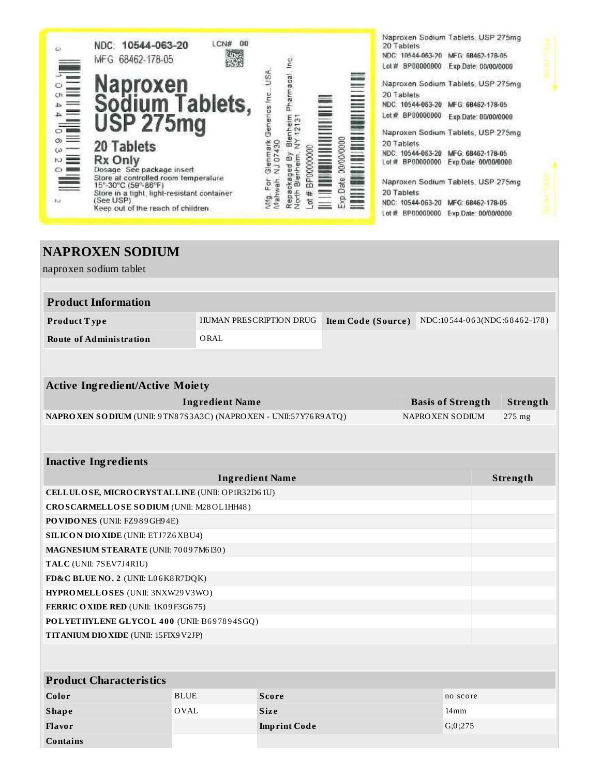

# **NAPROXEN SODIUM**

naproxen sodium tablet

| <b>Product Information</b> |                         |  |                                                        |  |
|----------------------------|-------------------------|--|--------------------------------------------------------|--|
| <b>Product Type</b>        | HUMAN PRESCRIPTION DRUG |  | <b>Item Code (Source)</b> NDC:10544-063(NDC:68462-178) |  |
| Route of Administration    | ORAL                    |  |                                                        |  |

| <b>Active Ingredient/Active Moiety</b>                                      |                          |                  |  |
|-----------------------------------------------------------------------------|--------------------------|------------------|--|
| Ingredient Name                                                             | <b>Basis of Strength</b> | Strength         |  |
| <b>NAPRO XEN SODIUM (UNII: 9 TN87S3A3C) (NAPRO XEN - UNII:57Y76 R9 ATQ)</b> | NAPROXEN SODIUM          | $275 \text{ mg}$ |  |

#### **Inactive Ingredients**

| <b>Ingredient Name</b>                          | Strength |
|-------------------------------------------------|----------|
| CELLULOSE, MICRO CRYSTALLINE (UNII: OP1R32D61U) |          |
| CROSCARMELLOSE SODIUM (UNII: M28OL1HH48)        |          |
| <b>PO VIDONES</b> (UNII: FZ989GH94E)            |          |
| <b>SILICON DIO XIDE (UNII: ETJ7Z6XBU4)</b>      |          |
| MAGNESIUM STEARATE (UNII: 70097M6I30)           |          |
| TALC (UNII: 7SEV7J4R1U)                         |          |
| FD&C BLUE NO. 2 (UNII: L06K8R7DQK)              |          |
| HYPROMELLOSES (UNII: 3NXW29V3WO)                |          |
| <b>FERRIC OXIDE RED (UNII: 1K09F3G675)</b>      |          |
| POLYETHYLENE GLYCOL 400 (UNII: B697894SGQ)      |          |
| <b>TITANIUM DIO XIDE (UNII: 15FIX9 V2JP)</b>    |          |

| <b>Product Characteristics</b> |             |                     |                  |  |
|--------------------------------|-------------|---------------------|------------------|--|
| Color                          | <b>BLUE</b> | Score               | no score         |  |
| <b>Shape</b>                   | OVAL        | <b>Size</b>         | 14 <sub>mm</sub> |  |
| <b>Flavor</b>                  |             | <b>Imprint Code</b> | G;0;275          |  |
| <b>Contains</b>                |             |                     |                  |  |